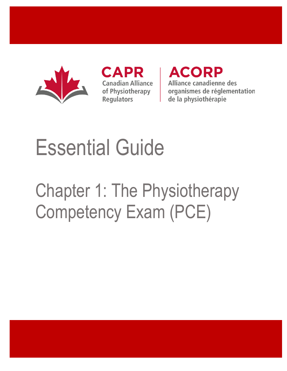

**CAPR Canadian Alliance** of Physiotherapy **Regulators** 

**ACORP** Alliance canadienne des organismes de réglementation de la physiothérapie

# Essential Guide

## Chapter 1: The Physiotherapy Competency Exam (PCE)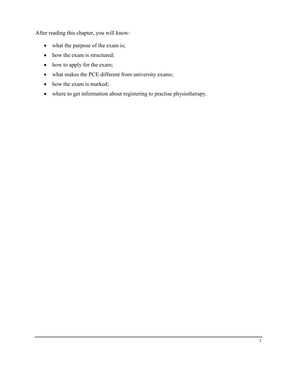After reading this chapter, you will know:

- what the purpose of the exam is;
- how the exam is structured;
- how to apply for the exam;
- what makes the PCE different from university exams;
- how the exam is marked;
- where to get information about registering to practise physiotherapy.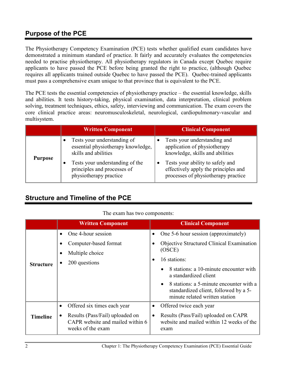## **Purpose of the PCE**

The Physiotherapy Competency Examination (PCE) tests whether qualified exam candidates have demonstrated a minimum standard of practice. It fairly and accurately evaluates the competencies needed to practise physiotherapy. All physiotherapy regulators in Canada except Quebec require applicants to have passed the PCE before being granted the right to practice, (although Quebec requires all applicants trained outside Quebec to have passed the PCE). Quebec-trained applicants must pass a comprehensive exam unique to that province that is equivalent to the PCE.

The PCE tests the essential competencies of physiotherapy practice – the essential knowledge, skills and abilities. It tests history-taking, physical examination, data interpretation, clinical problem solving, treatment techniques, ethics, safety, interviewing and communication. The exam covers the core clinical practice areas: neuromusculoskeletal, neurological, cardiopulmonary-vascular and multisystem.

|                | <b>Written Component</b>                                                                  | <b>Clinical Component</b>                                                                                       |
|----------------|-------------------------------------------------------------------------------------------|-----------------------------------------------------------------------------------------------------------------|
| <b>Purpose</b> | Tests your understanding of<br>essential physiotherapy knowledge,<br>skills and abilities | Tests your understanding and<br>application of physiotherapy<br>knowledge, skills and abilities                 |
|                | Tests your understanding of the<br>principles and processes of<br>physiotherapy practice  | Tests your ability to safely and<br>effectively apply the principles and<br>processes of physiotherapy practice |

## **Structure and Timeline of the PCE**

#### The exam has two components:

|                  | <b>Written Component</b>                                                                 | <b>Clinical Component</b>                                                                                                       |
|------------------|------------------------------------------------------------------------------------------|---------------------------------------------------------------------------------------------------------------------------------|
| <b>Structure</b> | One 4-hour session<br>$\bullet$                                                          | One 5-6 hour session (approximately)                                                                                            |
|                  | Computer-based format                                                                    | Objective Structured Clinical Examination                                                                                       |
|                  | Multiple choice                                                                          | (OSCE)<br>16 stations:                                                                                                          |
|                  | 200 questions                                                                            |                                                                                                                                 |
|                  |                                                                                          | 8 stations: a 10-minute encounter with<br>a standardized client                                                                 |
|                  |                                                                                          | 8 stations: a 5-minute encounter with a<br>$\bullet$<br>standardized client, followed by a 5-<br>minute related written station |
| Timeline         | Offered six times each year<br>٠                                                         | Offered twice each year<br>$\bullet$                                                                                            |
|                  | Results (Pass/Fail) uploaded on<br>CAPR website and mailed within 6<br>weeks of the exam | Results (Pass/Fail) uploaded on CAPR<br>website and mailed within 12 weeks of the<br>exam                                       |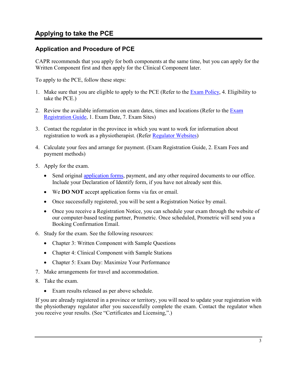### **Application and Procedure of PCE**

CAPR recommends that you apply for both components at the same time, but you can apply for the Written Component first and then apply for the Clinical Component later.

To apply to the PCE, follow these steps:

- 1. Make sure that you are eligible to apply to the PCE (Refer to the **Exam Policy**, 4. Eligibility to take the PCE.)
- 2. Review the available information on exam dates, times and locations (Refer to the Exam [Registration Guide,](http://www.alliancept.org/taking-the-exam/exam-application-information/exam-registration-guide-2017/) 1. Exam Date, 7. Exam Sites)
- 3. Contact the regulator in the province in which you want to work for information about registration to work as a physiotherapist. (Refer [Regulator Websites\)](http://www.alliancept.org/regulator-websites/)
- 4. Calculate your fees and arrange for payment. (Exam Registration Guide, 2. Exam Fees and payment methods)
- 5. Apply for the exam.
	- Send original [application forms,](http://www.alliancept.org/taking-the-exam/information-and-accommodations/exam-forms/) payment, and any other required documents to our office. Include your Declaration of Identify form, if you have not already sent this.
	- We **DO NOT** accept application forms via fax or email.
	- Once successfully registered, you will be sent a Registration Notice by email.
	- Once you receive a Registration Notice, you can schedule your exam through the website of our computer-based testing partner, Prometric. Once scheduled, Prometric will send you a Booking Confirmation Email.
- 6. Study for the exam. See the following resources:
	- Chapter 3: Written Component with Sample Questions
	- Chapter 4: Clinical Component with Sample Stations
	- Chapter 5: Exam Day: Maximize Your Performance
- 7. Make arrangements for travel and accommodation.
- 8. Take the exam.
	- Exam results released as per above schedule.

If you are already registered in a province or territory, you will need to update your registration with the physiotherapy regulator after you successfully complete the exam. Contact the regulator when you receive your results. (See "Certificates and Licensing,".)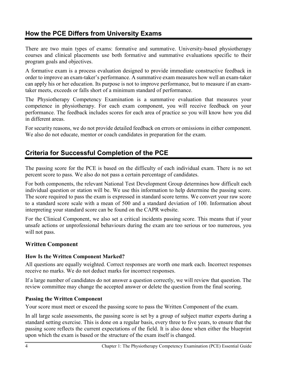## **How the PCE Differs from University Exams**

There are two main types of exams: formative and summative. University-based physiotherapy courses and clinical placements use both formative and summative evaluations specific to their program goals and objectives.

A formative exam is a process evaluation designed to provide immediate constructive feedback in order to improve an exam-taker's performance. A summative exam measures how well an exam-taker can apply his or her education. Its purpose is not to improve performance, but to measure if an examtaker meets, exceeds or falls short of a minimum standard of performance.

The Physiotherapy Competency Examination is a summative evaluation that measures your competence in physiotherapy. For each exam component, you will receive feedback on your performance. The feedback includes scores for each area of practice so you will know how you did in different areas.

For security reasons, we do not provide detailed feedback on errors or omissions in either component. We also do not educate, mentor or coach candidates in preparation for the exam.

## **Criteria for Successful Completion of the PCE**

The passing score for the PCE is based on the difficulty of each individual exam. There is no set percent score to pass. We also do not pass a certain percentage of candidates.

For both components, the relevant National Test Development Group determines how difficult each individual question or station will be. We use this information to help determine the passing score. The score required to pass the exam is expressed in standard score terms. We convert your raw score to a standard score scale with a mean of 500 and a standard deviation of 100. Information about interpreting your standard score can be found on the CAPR website.

For the Clinical Component, we also set a critical incidents passing score. This means that if your unsafe actions or unprofessional behaviours during the exam are too serious or too numerous, you will not pass.

#### **Written Component**

#### **How Is the Written Component Marked?**

All questions are equally weighted. Correct responses are worth one mark each. Incorrect responses receive no marks. We do not deduct marks for incorrect responses.

If a large number of candidates do not answer a question correctly, we will review that question. The review committee may change the accepted answer or delete the question from the final scoring.

#### **Passing the Written Component**

Your score must meet or exceed the passing score to pass the Written Component of the exam.

In all large scale assessments, the passing score is set by a group of subject matter experts during a standard setting exercise. This is done on a regular basis, every three to five years, to ensure that the passing score reflects the current expectations of the field. It is also done when either the blueprint upon which the exam is based or the structure of the exam itself is changed.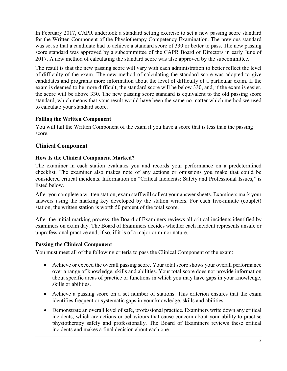In February 2017, CAPR undertook a standard setting exercise to set a new passing score standard for the Written Component of the Physiotherapy Competency Examination. The previous standard was set so that a candidate had to achieve a standard score of 330 or better to pass. The new passing score standard was approved by a subcommittee of the CAPR Board of Directors in early June of 2017. A new method of calculating the standard score was also approved by the subcommittee.

The result is that the new passing score will vary with each administration to better reflect the level of difficulty of the exam. The new method of calculating the standard score was adopted to give candidates and programs more information about the level of difficulty of a particular exam. If the exam is deemed to be more difficult, the standard score will be below 330, and, if the exam is easier, the score will be above 330. The new passing score standard is equivalent to the old passing score standard, which means that your result would have been the same no matter which method we used to calculate your standard score.

#### **Failing the Written Component**

You will fail the Written Component of the exam if you have a score that is less than the passing score.

#### **Clinical Component**

#### **How Is the Clinical Component Marked?**

The examiner in each station evaluates you and records your performance on a predetermined checklist. The examiner also makes note of any actions or omissions you make that could be considered critical incidents. Information on "Critical Incidents: Safety and Professional Issues," is listed below.

After you complete a written station, exam staff will collect your answer sheets. Examiners mark your answers using the marking key developed by the station writers. For each five-minute (couplet) station, the written station is worth 50 percent of the total score.

After the initial marking process, the Board of Examiners reviews all critical incidents identified by examiners on exam day. The Board of Examiners decides whether each incident represents unsafe or unprofessional practice and, if so, if it is of a major or minor nature.

#### **Passing the Clinical Component**

You must meet all of the following criteria to pass the Clinical Component of the exam:

- Achieve or exceed the overall passing score. Your total score shows your overall performance over a range of knowledge, skills and abilities. Your total score does not provide information about specific areas of practice or functions in which you may have gaps in your knowledge, skills or abilities.
- Achieve a passing score on a set number of stations. This criterion ensures that the exam identifies frequent or systematic gaps in your knowledge, skills and abilities.
- Demonstrate an overall level of safe, professional practice. Examiners write down any critical incidents, which are actions or behaviours that cause concern about your ability to practise physiotherapy safely and professionally. The Board of Examiners reviews these critical incidents and makes a final decision about each one.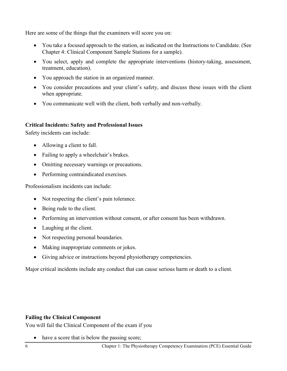Here are some of the things that the examiners will score you on:

- You take a focused approach to the station, as indicated on the Instructions to Candidate. (See Chapter 4: Clinical Component Sample Stations for a sample).
- You select, apply and complete the appropriate interventions (history-taking, assessment, treatment, education).
- You approach the station in an organized manner.
- You consider precautions and your client's safety, and discuss these issues with the client when appropriate.
- You communicate well with the client, both verbally and non-verbally.

#### **Critical Incidents: Safety and Professional Issues**

Safety incidents can include:

- Allowing a client to fall.
- Failing to apply a wheelchair's brakes.
- Omitting necessary warnings or precautions.
- Performing contraindicated exercises.

Professionalism incidents can include:

- Not respecting the client's pain tolerance.
- Being rude to the client.
- Performing an intervention without consent, or after consent has been withdrawn.
- Laughing at the client.
- Not respecting personal boundaries.
- Making inappropriate comments or jokes.
- Giving advice or instructions beyond physiotherapy competencies.

Major critical incidents include any conduct that can cause serious harm or death to a client.

#### **Failing the Clinical Component**

You will fail the Clinical Component of the exam if you

• have a score that is below the passing score;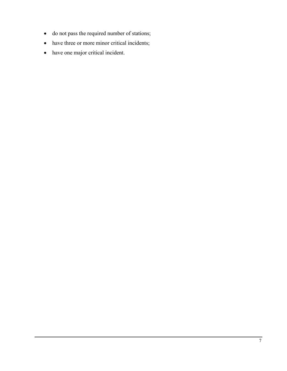- do not pass the required number of stations;
- have three or more minor critical incidents;
- have one major critical incident.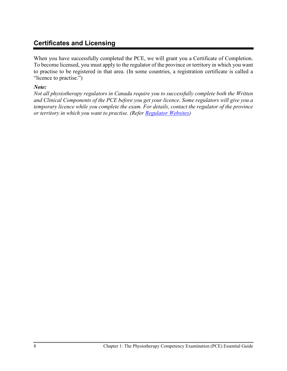## **Certificates and Licensing**

When you have successfully completed the PCE, we will grant you a Certificate of Completion. To become licensed, you must apply to the regulator of the province or territory in which you want to practise to be registered in that area. (In some countries, a registration certificate is called a "licence to practise.")

#### *Note:*

*Not all physiotherapy regulators in Canada require you to successfully complete both the Written and Clinical Components of the PCE before you get your licence. Some regulators will give you a temporary licence while you complete the exam. For details, contact the regulator of the province or territory in which you want to practise. (Refer [Regulator Websites\)](http://www.alliancept.org/regulator-websites/)*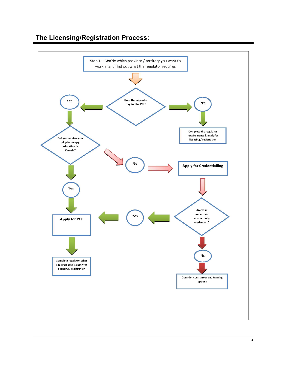## **The Licensing/Registration Process:**